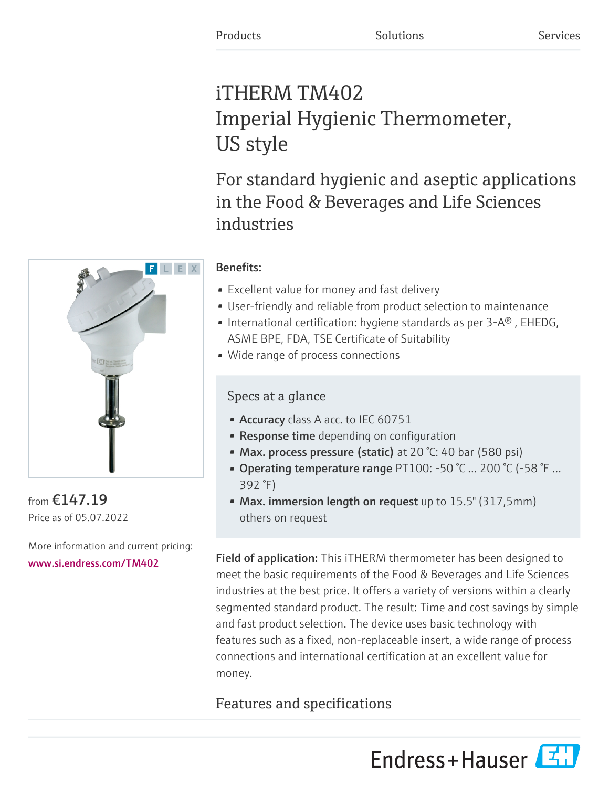# iTHERM TM402 Imperial Hygienic Thermometer, US style

For standard hygienic and aseptic applications in the Food & Beverages and Life Sciences industries

# Benefits:

- Excellent value for money and fast delivery
- User-friendly and reliable from product selection to maintenance
- International certification: hygiene standards as per  $3-A^{\circledcirc}$ , EHEDG, ASME BPE, FDA, TSE Certificate of Suitability
- Wide range of process connections

# Specs at a glance

- Accuracy class A acc. to IEC 60751
- Response time depending on configuration
- Max. process pressure (static) at 20 °C: 40 bar (580 psi)
- Operating temperature range PT100: -50 °C … 200 °C (-58 °F … 392 °F)
- Max. immersion length on request up to 15.5" (317,5mm) others on request

Field of application: This iTHERM thermometer has been designed to meet the basic requirements of the Food & Beverages and Life Sciences industries at the best price. It offers a variety of versions within a clearly segmented standard product. The result: Time and cost savings by simple and fast product selection. The device uses basic technology with features such as a fixed, non-replaceable insert, a wide range of process connections and international certification at an excellent value for money.

# Features and specifications





from €147.19 Price as of 05.07.2022

More information and current pricing: [www.si.endress.com/TM402](https://www.si.endress.com/TM402)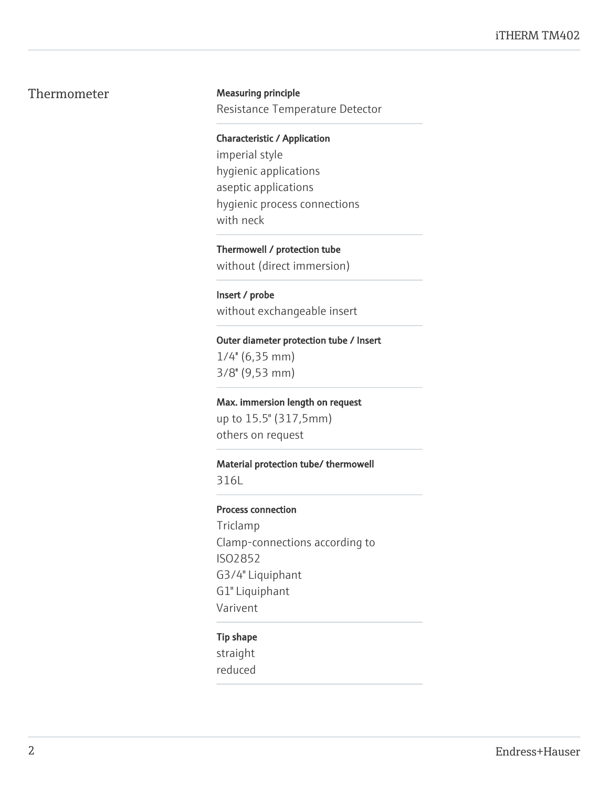# Thermometer Measuring principle

Resistance Temperature Detector

Characteristic / Application

imperial style hygienic applications aseptic applications hygienic process connections with neck

Thermowell / protection tube without (direct immersion)

Insert / probe without exchangeable insert

Outer diameter protection tube / Insert

 $1/4$ " (6,35 mm) 3/8'' (9,53 mm)

Max. immersion length on request up to 15.5" (317,5mm) others on request

#### Material protection tube/ thermowell

316L

#### Process connection

Triclamp Clamp-connections according to ISO2852 G3/4" Liquiphant G1" Liquiphant Varivent

#### Tip shape

straight reduced